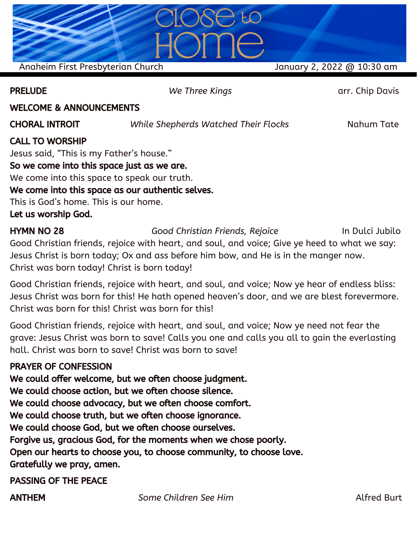Anaheim First Presbyterian Church January 2, 2022 @ 10:30 am

PRELUDE *We Three Kings* arr. Chip Davis

#### WELCOME & ANNOUNCEMENTS

CHORAL INTROIT *While Shepherds Watched Their Flocks* Nahum Tate

## CALL TO WORSHIP

Jesus said, "This is my Father's house." So we come into this space just as we are. We come into this space to speak our truth. We come into this space as our authentic selves. This is God's home. This is our home. Let us worship God.

HYMN NO 28 *Good Christian Friends, Rejoice* In Dulci Jubilo Good Christian friends, rejoice with heart, and soul, and voice; Give ye heed to what we say: Jesus Christ is born today; Ox and ass before him bow, and He is in the manger now. Christ was born today! Christ is born today!

Good Christian friends, rejoice with heart, and soul, and voice; Now ye hear of endless bliss: Jesus Christ was born for this! He hath opened heaven's door, and we are blest forevermore. Christ was born for this! Christ was born for this!

Good Christian friends, rejoice with heart, and soul, and voice; Now ye need not fear the grave: Jesus Christ was born to save! Calls you one and calls you all to gain the everlasting hall. Christ was born to save! Christ was born to save!

#### PRAYER OF CONFESSION

We could offer welcome, but we often choose judgment. We could choose action, but we often choose silence. We could choose advocacy, but we often choose comfort. We could choose truth, but we often choose ignorance. We could choose God, but we often choose ourselves. Forgive us, gracious God, for the moments when we chose poorly. Open our hearts to choose you, to choose community, to choose love. Gratefully we pray, amen.

PASSING OF THE PEACE

ANTHEM *Some Children See Him* Alfred Burt